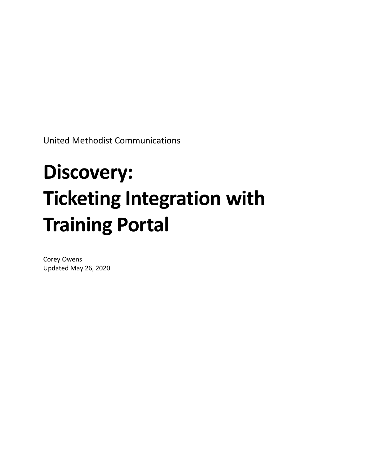United Methodist Communications

# **Discovery: Ticketing Integration with Training Portal**

Corey Owens Updated May 26, 2020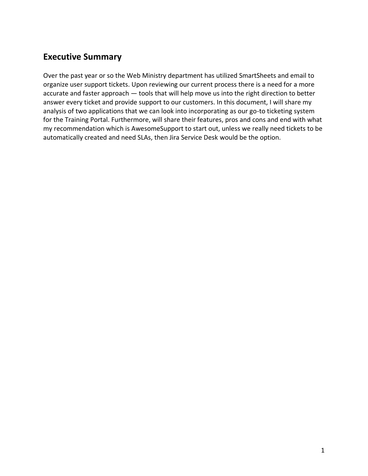# <span id="page-2-0"></span>**Executive Summary**

Over the past year or so the Web Ministry department has utilized SmartSheets and email to organize user support tickets. Upon reviewing our current process there is a need for a more accurate and faster approach — tools that will help move us into the right direction to better answer every ticket and provide support to our customers. In this document, I will share my analysis of two applications that we can look into incorporating as our go-to ticketing system for the Training Portal. Furthermore, will share their features, pros and cons and end with what my recommendation which is AwesomeSupport to start out, unless we really need tickets to be automatically created and need SLAs, then Jira Service Desk would be the option.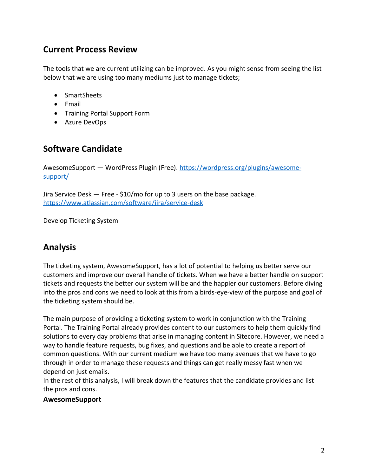# <span id="page-3-0"></span>**Current Process Review**

The tools that we are current utilizing can be improved. As you might sense from seeing the list below that we are using too many mediums just to manage tickets;

- SmartSheets
- Email
- Training Portal Support Form
- Azure DevOps

# <span id="page-3-1"></span>**Software Candidate**

AwesomeSupport — WordPress Plugin (Free). [https://wordpress.org/plugins/awesome](https://wordpress.org/plugins/awesome-support/)[support/](https://wordpress.org/plugins/awesome-support/)

Jira Service Desk — Free - \$10/mo for up to 3 users on the base package. <https://www.atlassian.com/software/jira/service-desk>

Develop Ticketing System

# <span id="page-3-2"></span>**Analysis**

The ticketing system, AwesomeSupport, has a lot of potential to helping us better serve our customers and improve our overall handle of tickets. When we have a better handle on support tickets and requests the better our system will be and the happier our customers. Before diving into the pros and cons we need to look at this from a birds-eye-view of the purpose and goal of the ticketing system should be.

The main purpose of providing a ticketing system to work in conjunction with the Training Portal. The Training Portal already provides content to our customers to help them quickly find solutions to every day problems that arise in managing content in Sitecore. However, we need a way to handle feature requests, bug fixes, and questions and be able to create a report of common questions. With our current medium we have too many avenues that we have to go through in order to manage these requests and things can get really messy fast when we depend on just emails.

In the rest of this analysis, I will break down the features that the candidate provides and list the pros and cons.

## <span id="page-3-3"></span>**AwesomeSupport**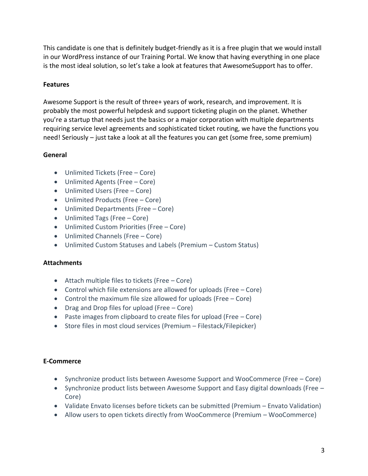This candidate is one that is definitely budget-friendly as it is a free plugin that we would install in our WordPress instance of our Training Portal. We know that having everything in one place is the most ideal solution, so let's take a look at features that AwesomeSupport has to offer.

### <span id="page-4-0"></span>**Features**

Awesome Support is the result of three+ years of work, research, and improvement. It is probably the most powerful helpdesk and support ticketing plugin on the planet. Whether you're a startup that needs just the basics or a major corporation with multiple departments requiring service level agreements and sophisticated ticket routing, we have the functions you need! Seriously – just take a look at all the features you can get (some free, some premium)

#### **General**

- Unlimited Tickets (Free Core)
- Unlimited Agents (Free Core)
- Unlimited Users (Free Core)
- Unlimited Products (Free Core)
- Unlimited Departments (Free Core)
- Unlimited Tags (Free Core)
- Unlimited Custom Priorities (Free Core)
- Unlimited Channels (Free Core)
- Unlimited Custom Statuses and Labels (Premium Custom Status)

#### **Attachments**

- Attach multiple files to tickets (Free Core)
- Control which fiile extensions are allowed for uploads (Free Core)
- Control the maximum file size allowed for uploads (Free Core)
- Drag and Drop files for upload (Free Core)
- Paste images from clipboard to create files for upload (Free Core)
- Store files in most cloud services (Premium Filestack/Filepicker)

#### **E-Commerce**

- Synchronize product lists between Awesome Support and WooCommerce (Free Core)
- Synchronize product lists between Awesome Support and Easy digital downloads (Free Core)
- Validate Envato licenses before tickets can be submitted (Premium Envato Validation)
- Allow users to open tickets directly from WooCommerce (Premium WooCommerce)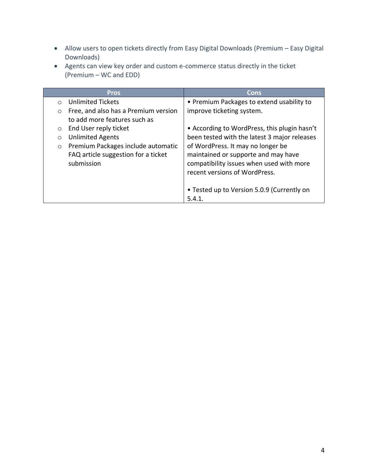- Allow users to open tickets directly from Easy Digital Downloads (Premium Easy Digital Downloads)
- Agents can view key order and custom e-commerce status directly in the ticket (Premium – WC and EDD)

|          | <b>Pros</b>                          | Cons                                         |
|----------|--------------------------------------|----------------------------------------------|
| $\Omega$ | Unlimited Tickets                    | • Premium Packages to extend usability to    |
| $\circ$  | Free, and also has a Premium version | improve ticketing system.                    |
|          | to add more features such as         |                                              |
| $\circ$  | End User reply ticket                | • According to WordPress, this plugin hasn't |
| $\circ$  | <b>Unlimited Agents</b>              | been tested with the latest 3 major releases |
| $\circ$  | Premium Packages include automatic   | of WordPress. It may no longer be            |
|          | FAQ article suggestion for a ticket  | maintained or supporte and may have          |
|          | submission                           | compatibility issues when used with more     |
|          |                                      | recent versions of WordPress.                |
|          |                                      |                                              |
|          |                                      | • Tested up to Version 5.0.9 (Currently on   |
|          |                                      | 5.4.1.                                       |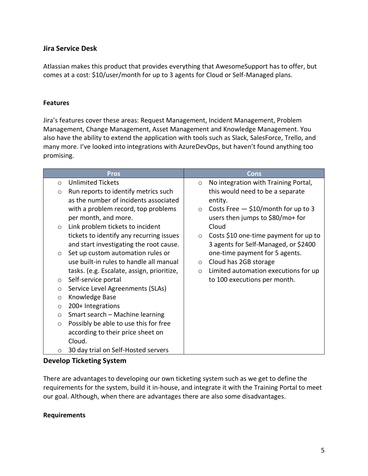## <span id="page-6-0"></span>**Jira Service Desk**

Atlassian makes this product that provides everything that AwesomeSupport has to offer, but comes at a cost: \$10/user/month for up to 3 agents for Cloud or Self-Managed plans.

#### <span id="page-6-1"></span>**Features**

Jira's features cover these areas: Request Management, Incident Management, Problem Management, Change Management, Asset Management and Knowledge Management. You also have the ability to extend the application with tools such as Slack, SalesForce, Trello, and many more. I've looked into integrations with AzureDevOps, but haven't found anything too promising.

|         | <b>Pros</b>                                | Cons                                             |
|---------|--------------------------------------------|--------------------------------------------------|
| $\circ$ | <b>Unlimited Tickets</b>                   | No integration with Training Portal,<br>$\circ$  |
| $\circ$ | Run reports to identify metrics such       | this would need to be a separate                 |
|         | as the number of incidents associated      | entity.                                          |
|         | with a problem record, top problems        | Costs Free $-$ \$10/month for up to 3<br>$\circ$ |
|         | per month, and more.                       | users then jumps to \$80/mo+ for                 |
| $\circ$ | Link problem tickets to incident           | Cloud                                            |
|         | tickets to identify any recurring issues   | Costs \$10 one-time payment for up to<br>$\circ$ |
|         | and start investigating the root cause.    | 3 agents for Self-Managed, or \$2400             |
| $\circ$ | Set up custom automation rules or          | one-time payment for 5 agents.                   |
|         | use built-in rules to handle all manual    | Cloud has 2GB storage<br>$\circ$                 |
|         | tasks. (e.g. Escalate, assign, prioritize, | Limited automation executions for up<br>$\circ$  |
| $\circ$ | Self-service portal                        | to 100 executions per month.                     |
| $\circ$ | Service Level Agreenments (SLAs)           |                                                  |
| $\circ$ | Knowledge Base                             |                                                  |
| $\circ$ | 200+ Integrations                          |                                                  |
| $\circ$ | Smart search - Machine learning            |                                                  |
| $\circ$ | Possibly be able to use this for free      |                                                  |
|         | according to their price sheet on          |                                                  |
|         | Cloud.                                     |                                                  |
| $\circ$ | 30 day trial on Self-Hosted servers        |                                                  |

## <span id="page-6-2"></span>**Develop Ticketing System**

There are advantages to developing our own ticketing system such as we get to define the requirements for the system, build it in-house, and integrate it with the Training Portal to meet our goal. Although, when there are advantages there are also some disadvantages.

#### <span id="page-6-3"></span>**Requirements**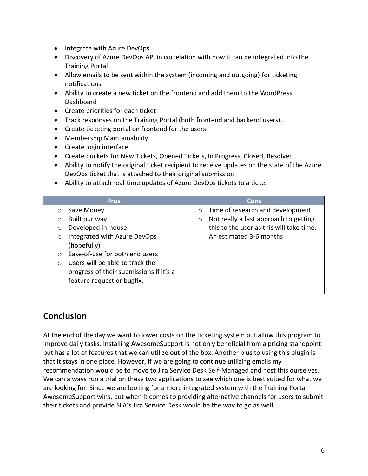- Integrate with Azure DevOps
- Discovery of Azure DevOps API in correlation with how it can be integrated into the Training Portal
- Allow emails to be sent within the system (incoming and outgoing) for ticketing notifications
- Ability to create a new ticket on the frontend and add them to the WordPress **Dashboard**
- Create priorities for each ticket
- Track responses on the Training Portal (both frontend and backend users).
- Create ticketing portal on frontend for the users
- Membership Maintainability
- Create login interface
- Create buckets for New Tickets, Opened Tickets, In Progress, Closed, Resolved
- Ability to notify the original ticket recipient to receive updates on the state of the Azure DevOps ticket that is attached to their original submission
- Ability to attach real-time updates of Azure DevOps tickets to a ticket

| <b>Pros</b>                                  | Cons                                             |
|----------------------------------------------|--------------------------------------------------|
| Save Money<br>$\circ$                        | Time of research and development<br>$\circ$      |
| Built our way<br>$\circ$                     | Not really a fast approach to getting<br>$\circ$ |
| Developed in-house<br>$\circ$                | this to the user as this will take time.         |
| Integrated with Azure DevOps<br>$\circ$      | An estimated 3-6 months                          |
| (hopefully)                                  |                                                  |
| Ease-of-use for both end users<br>$\bigcap$  |                                                  |
| Users will be able to track the<br>$\bigcap$ |                                                  |
| progress of their submissions if it's a      |                                                  |
| feature request or bugfix.                   |                                                  |
|                                              |                                                  |

# <span id="page-7-0"></span>**Conclusion**

At the end of the day we want to lower costs on the ticketing system but allow this program to improve daily tasks. Installing AwesomeSupport is not only beneficial from a pricing standpoint but has a lot of features that we can utilize out of the box. Another plus to using this plugin is that it stays in one place. However, if we are going to continue utilizing emails my recommendation would be to move to Jira Service Desk Self-Managed and host this ourselves. We can always run a trial on these two applications to see which one is best suited for what we are looking for. Since we are looking for a more integrated system with the Training Portal AwesomeSupport wins, but when it comes to providing alternative channels for users to submit their tickets and provide SLA's Jira Service Desk would be the way to go as well.